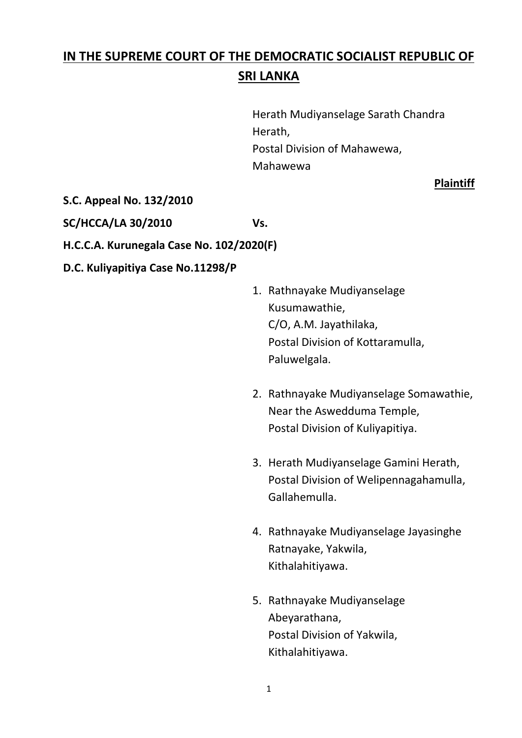# **IN THE SUPREME COURT OF THE DEMOCRATIC SOCIALIST REPUBLIC OF SRI LANKA**

Herath Mudiyanselage Sarath Chandra Herath, Postal Division of Mahawewa, Mahawewa

**Plaintiff**

### **S.C. Appeal No. 132/2010**

**SC/HCCA/LA 30/2010 Vs.**

**H.C.C.A. Kurunegala Case No. 102/2020(F)**

### **D.C. Kuliyapitiya Case No.11298/P**

- 1. Rathnayake Mudiyanselage Kusumawathie, C/O, A.M. Jayathilaka, Postal Division of Kottaramulla, Paluwelgala.
- 2. Rathnayake Mudiyanselage Somawathie, Near the Aswedduma Temple, Postal Division of Kuliyapitiya.
- 3. Herath Mudiyanselage Gamini Herath, Postal Division of Welipennagahamulla, Gallahemulla.
- 4. Rathnayake Mudiyanselage Jayasinghe Ratnayake, Yakwila, Kithalahitiyawa.
- 5. Rathnayake Mudiyanselage Abeyarathana, Postal Division of Yakwila, Kithalahitiyawa.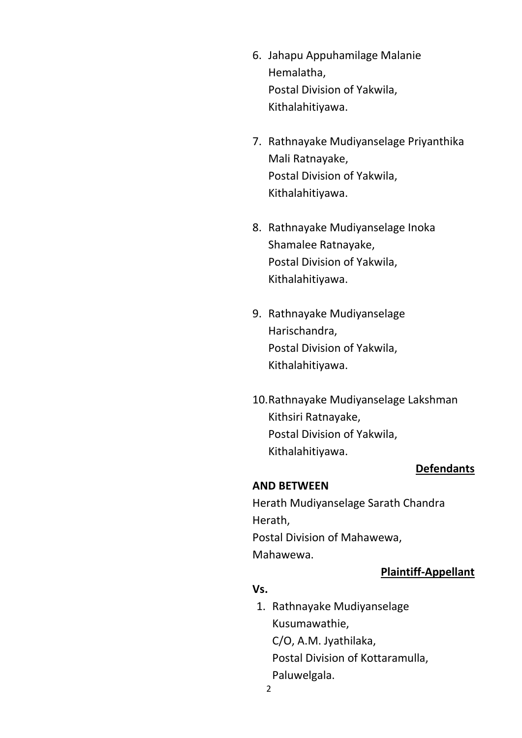- 6. Jahapu Appuhamilage Malanie Hemalatha, Postal Division of Yakwila, Kithalahitiyawa.
- 7. Rathnayake Mudiyanselage Priyanthika Mali Ratnayake, Postal Division of Yakwila, Kithalahitiyawa.
- 8. Rathnayake Mudiyanselage Inoka Shamalee Ratnayake, Postal Division of Yakwila, Kithalahitiyawa.
- 9. Rathnayake Mudiyanselage Harischandra, Postal Division of Yakwila, Kithalahitiyawa.
- 10.Rathnayake Mudiyanselage Lakshman Kithsiri Ratnayake, Postal Division of Yakwila, Kithalahitiyawa.

#### **Defendants**

#### **AND BETWEEN**

Herath Mudiyanselage Sarath Chandra Herath,

Postal Division of Mahawewa, Mahawewa.

### **Plaintiff-Appellant**

### **Vs.**

2 1. Rathnayake Mudiyanselage Kusumawathie, C/O, A.M. Jyathilaka, Postal Division of Kottaramulla, Paluwelgala.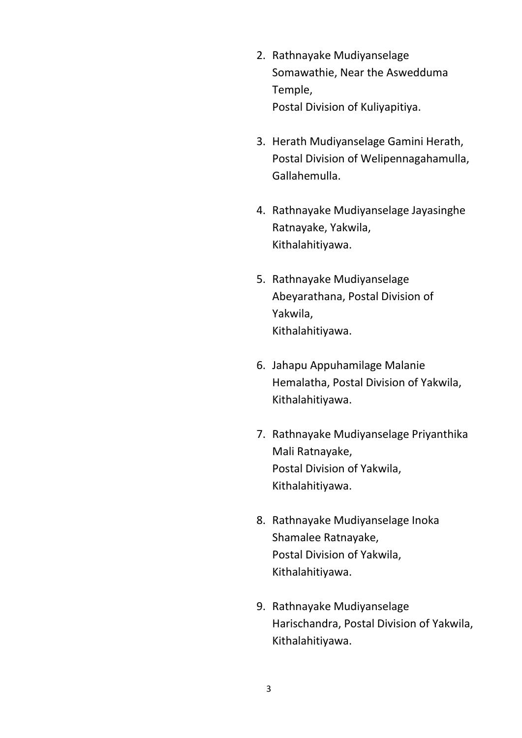- 2. Rathnayake Mudiyanselage Somawathie, Near the Aswedduma Temple, Postal Division of Kuliyapitiya.
- 3. Herath Mudiyanselage Gamini Herath, Postal Division of Welipennagahamulla, Gallahemulla.
- 4. Rathnayake Mudiyanselage Jayasinghe Ratnayake, Yakwila, Kithalahitiyawa.
- 5. Rathnayake Mudiyanselage Abeyarathana, Postal Division of Yakwila, Kithalahitiyawa.
- 6. Jahapu Appuhamilage Malanie Hemalatha, Postal Division of Yakwila, Kithalahitiyawa.
- 7. Rathnayake Mudiyanselage Priyanthika Mali Ratnayake, Postal Division of Yakwila, Kithalahitiyawa.
- 8. Rathnayake Mudiyanselage Inoka Shamalee Ratnayake, Postal Division of Yakwila, Kithalahitiyawa.
- 9. Rathnayake Mudiyanselage Harischandra, Postal Division of Yakwila, Kithalahitiyawa.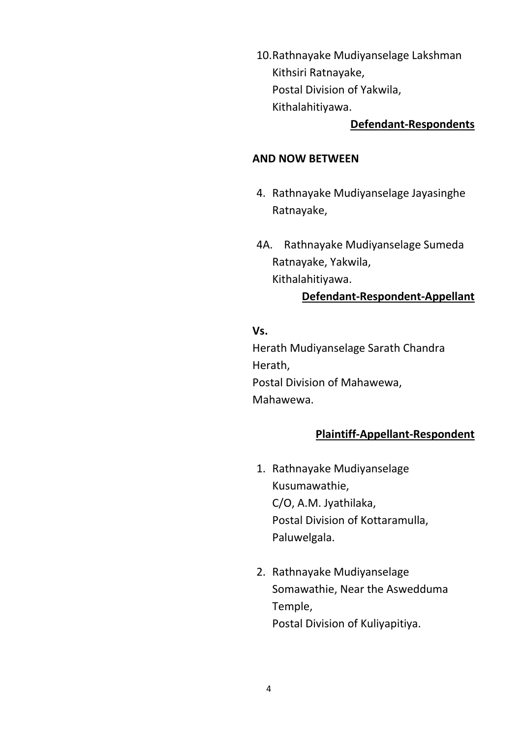10.Rathnayake Mudiyanselage Lakshman Kithsiri Ratnayake, Postal Division of Yakwila, Kithalahitiyawa.

### **Defendant-Respondents**

#### **AND NOW BETWEEN**

- 4. Rathnayake Mudiyanselage Jayasinghe Ratnayake,
- 4A. Rathnayake Mudiyanselage Sumeda Ratnayake, Yakwila, Kithalahitiyawa.

### **Defendant-Respondent-Appellant**

### **Vs.**

Herath Mudiyanselage Sarath Chandra Herath, Postal Division of Mahawewa, Mahawewa.

### **Plaintiff-Appellant-Respondent**

- 1. Rathnayake Mudiyanselage Kusumawathie, C/O, A.M. Jyathilaka, Postal Division of Kottaramulla, Paluwelgala.
- 2. Rathnayake Mudiyanselage Somawathie, Near the Aswedduma Temple, Postal Division of Kuliyapitiya.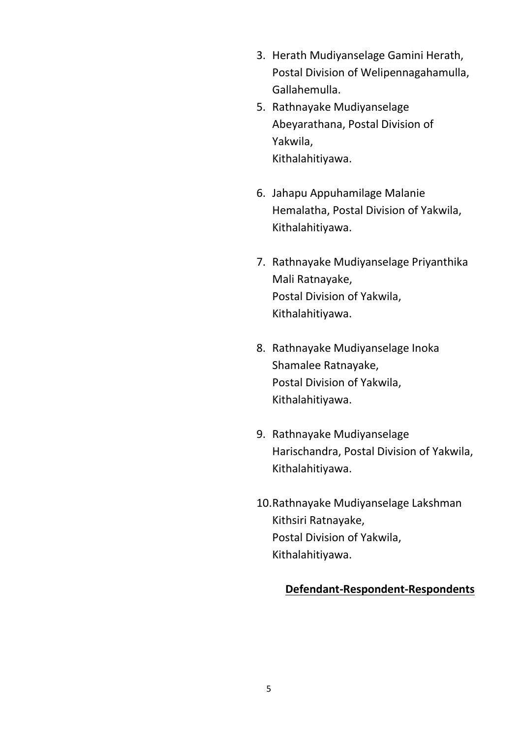- 3. Herath Mudiyanselage Gamini Herath, Postal Division of Welipennagahamulla, Gallahemulla.
- 5. Rathnayake Mudiyanselage Abeyarathana, Postal Division of Yakwila, Kithalahitiyawa.
- 6. Jahapu Appuhamilage Malanie Hemalatha, Postal Division of Yakwila, Kithalahitiyawa.
- 7. Rathnayake Mudiyanselage Priyanthika Mali Ratnayake, Postal Division of Yakwila, Kithalahitiyawa.
- 8. Rathnayake Mudiyanselage Inoka Shamalee Ratnayake, Postal Division of Yakwila, Kithalahitiyawa.
- 9. Rathnayake Mudiyanselage Harischandra, Postal Division of Yakwila, Kithalahitiyawa.
- 10.Rathnayake Mudiyanselage Lakshman Kithsiri Ratnayake, Postal Division of Yakwila, Kithalahitiyawa.

#### **Defendant-Respondent-Respondents**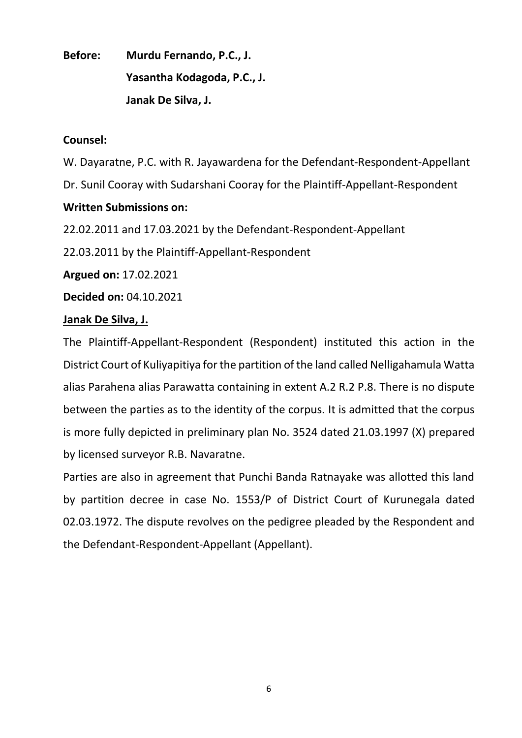**Before: Murdu Fernando, P.C., J. Yasantha Kodagoda, P.C., J. Janak De Silva, J.**

### **Counsel:**

W. Dayaratne, P.C. with R. Jayawardena for the Defendant-Respondent-Appellant

Dr. Sunil Cooray with Sudarshani Cooray for the Plaintiff-Appellant-Respondent

# **Written Submissions on:**

22.02.2011 and 17.03.2021 by the Defendant-Respondent-Appellant

22.03.2011 by the Plaintiff-Appellant-Respondent

**Argued on:** 17.02.2021

**Decided on:** 04.10.2021

# **Janak De Silva, J.**

The Plaintiff-Appellant-Respondent (Respondent) instituted this action in the District Court of Kuliyapitiya for the partition of the land called Nelligahamula Watta alias Parahena alias Parawatta containing in extent A.2 R.2 P.8. There is no dispute between the parties as to the identity of the corpus. It is admitted that the corpus is more fully depicted in preliminary plan No. 3524 dated 21.03.1997 (X) prepared by licensed surveyor R.B. Navaratne.

Parties are also in agreement that Punchi Banda Ratnayake was allotted this land by partition decree in case No. 1553/P of District Court of Kurunegala dated 02.03.1972. The dispute revolves on the pedigree pleaded by the Respondent and the Defendant-Respondent-Appellant (Appellant).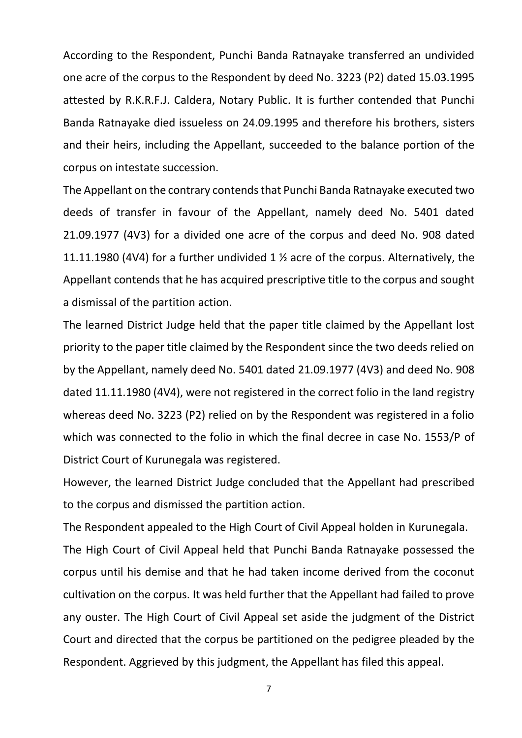According to the Respondent, Punchi Banda Ratnayake transferred an undivided one acre of the corpus to the Respondent by deed No. 3223 (P2) dated 15.03.1995 attested by R.K.R.F.J. Caldera, Notary Public. It is further contended that Punchi Banda Ratnayake died issueless on 24.09.1995 and therefore his brothers, sisters and their heirs, including the Appellant, succeeded to the balance portion of the corpus on intestate succession.

The Appellant on the contrary contends that Punchi Banda Ratnayake executed two deeds of transfer in favour of the Appellant, namely deed No. 5401 dated 21.09.1977 (4V3) for a divided one acre of the corpus and deed No. 908 dated 11.11.1980 (4V4) for a further undivided 1 ½ acre of the corpus. Alternatively, the Appellant contends that he has acquired prescriptive title to the corpus and sought a dismissal of the partition action.

The learned District Judge held that the paper title claimed by the Appellant lost priority to the paper title claimed by the Respondent since the two deeds relied on by the Appellant, namely deed No. 5401 dated 21.09.1977 (4V3) and deed No. 908 dated 11.11.1980 (4V4), were not registered in the correct folio in the land registry whereas deed No. 3223 (P2) relied on by the Respondent was registered in a folio which was connected to the folio in which the final decree in case No. 1553/P of District Court of Kurunegala was registered.

However, the learned District Judge concluded that the Appellant had prescribed to the corpus and dismissed the partition action.

The Respondent appealed to the High Court of Civil Appeal holden in Kurunegala.

The High Court of Civil Appeal held that Punchi Banda Ratnayake possessed the corpus until his demise and that he had taken income derived from the coconut cultivation on the corpus. It was held further that the Appellant had failed to prove any ouster. The High Court of Civil Appeal set aside the judgment of the District Court and directed that the corpus be partitioned on the pedigree pleaded by the Respondent. Aggrieved by this judgment, the Appellant has filed this appeal.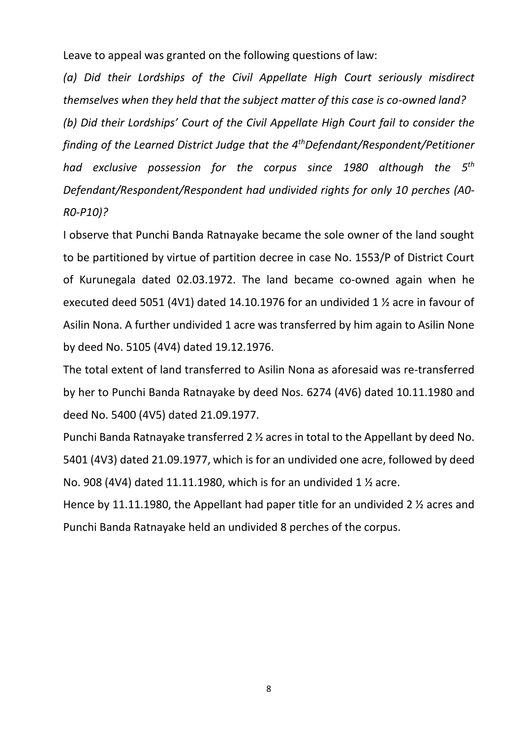Leave to appeal was granted on the following questions of law:

*(a) Did their Lordships of the Civil Appellate High Court seriously misdirect themselves when they held that the subject matter of this case is co-owned land? (b) Did their Lordships' Court of the Civil Appellate High Court fail to consider the finding of the Learned District Judge that the 4thDefendant/Respondent/Petitioner had exclusive possession for the corpus since 1980 although the 5 th Defendant/Respondent/Respondent had undivided rights for only 10 perches (A0- R0-P10)?*

I observe that Punchi Banda Ratnayake became the sole owner of the land sought to be partitioned by virtue of partition decree in case No. 1553/P of District Court of Kurunegala dated 02.03.1972. The land became co-owned again when he executed deed 5051 (4V1) dated 14.10.1976 for an undivided 1 ½ acre in favour of Asilin Nona. A further undivided 1 acre was transferred by him again to Asilin None by deed No. 5105 (4V4) dated 19.12.1976.

The total extent of land transferred to Asilin Nona as aforesaid was re-transferred by her to Punchi Banda Ratnayake by deed Nos. 6274 (4V6) dated 10.11.1980 and deed No. 5400 (4V5) dated 21.09.1977.

Punchi Banda Ratnayake transferred 2 ½ acres in total to the Appellant by deed No. 5401 (4V3) dated 21.09.1977, which is for an undivided one acre, followed by deed No. 908 (4V4) dated 11.11.1980, which is for an undivided 1 ½ acre.

Hence by 11.11.1980, the Appellant had paper title for an undivided 2 ½ acres and Punchi Banda Ratnayake held an undivided 8 perches of the corpus.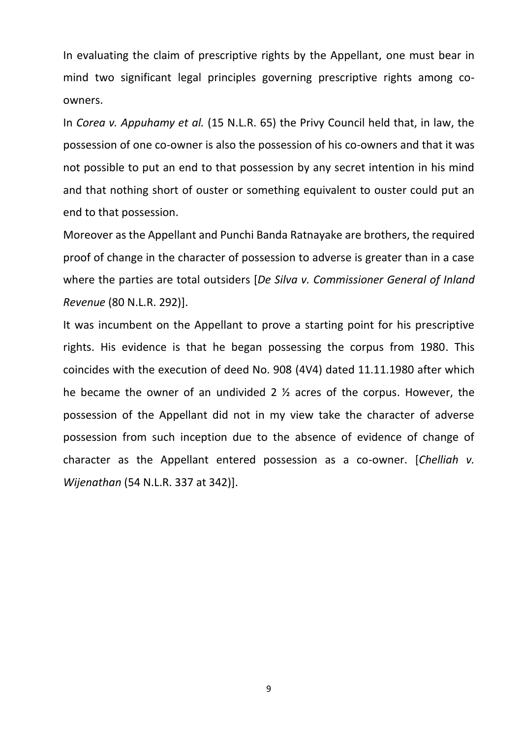In evaluating the claim of prescriptive rights by the Appellant, one must bear in mind two significant legal principles governing prescriptive rights among coowners.

In *Corea v. Appuhamy et al.* (15 N.L.R. 65) the Privy Council held that, in law, the possession of one co-owner is also the possession of his co-owners and that it was not possible to put an end to that possession by any secret intention in his mind and that nothing short of ouster or something equivalent to ouster could put an end to that possession.

Moreover as the Appellant and Punchi Banda Ratnayake are brothers, the required proof of change in the character of possession to adverse is greater than in a case where the parties are total outsiders [*De Silva v. Commissioner General of Inland Revenue* (80 N.L.R. 292)].

It was incumbent on the Appellant to prove a starting point for his prescriptive rights. His evidence is that he began possessing the corpus from 1980. This coincides with the execution of deed No. 908 (4V4) dated 11.11.1980 after which he became the owner of an undivided 2 ½ acres of the corpus. However, the possession of the Appellant did not in my view take the character of adverse possession from such inception due to the absence of evidence of change of character as the Appellant entered possession as a co-owner. [*Chelliah v. Wijenathan* (54 N.L.R. 337 at 342)].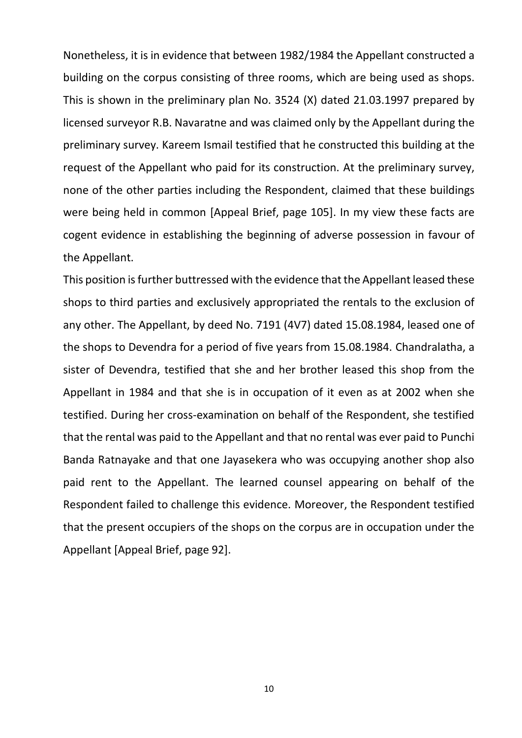Nonetheless, it is in evidence that between 1982/1984 the Appellant constructed a building on the corpus consisting of three rooms, which are being used as shops. This is shown in the preliminary plan No. 3524 (X) dated 21.03.1997 prepared by licensed surveyor R.B. Navaratne and was claimed only by the Appellant during the preliminary survey. Kareem Ismail testified that he constructed this building at the request of the Appellant who paid for its construction. At the preliminary survey, none of the other parties including the Respondent, claimed that these buildings were being held in common [Appeal Brief, page 105]. In my view these facts are cogent evidence in establishing the beginning of adverse possession in favour of the Appellant.

This position is further buttressed with the evidence that the Appellant leased these shops to third parties and exclusively appropriated the rentals to the exclusion of any other. The Appellant, by deed No. 7191 (4V7) dated 15.08.1984, leased one of the shops to Devendra for a period of five years from 15.08.1984. Chandralatha, a sister of Devendra, testified that she and her brother leased this shop from the Appellant in 1984 and that she is in occupation of it even as at 2002 when she testified. During her cross-examination on behalf of the Respondent, she testified that the rental was paid to the Appellant and that no rental was ever paid to Punchi Banda Ratnayake and that one Jayasekera who was occupying another shop also paid rent to the Appellant. The learned counsel appearing on behalf of the Respondent failed to challenge this evidence. Moreover, the Respondent testified that the present occupiers of the shops on the corpus are in occupation under the Appellant [Appeal Brief, page 92].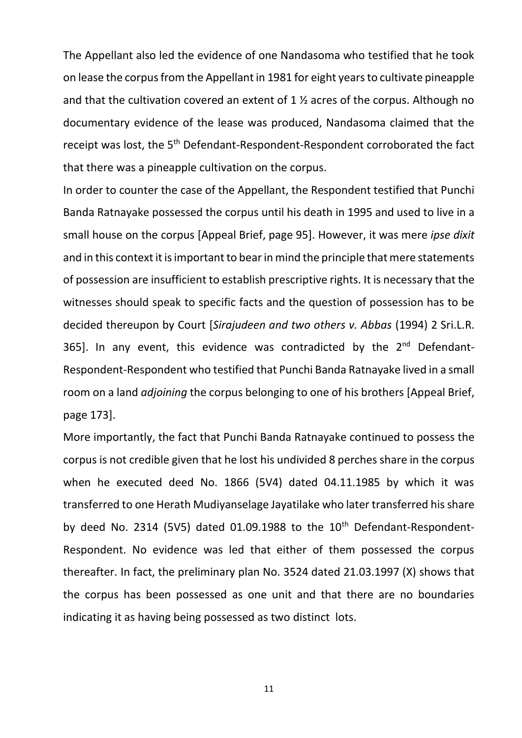The Appellant also led the evidence of one Nandasoma who testified that he took on lease the corpus from the Appellant in 1981 for eight years to cultivate pineapple and that the cultivation covered an extent of 1 ½ acres of the corpus. Although no documentary evidence of the lease was produced, Nandasoma claimed that the receipt was lost, the 5th Defendant-Respondent-Respondent corroborated the fact that there was a pineapple cultivation on the corpus.

In order to counter the case of the Appellant, the Respondent testified that Punchi Banda Ratnayake possessed the corpus until his death in 1995 and used to live in a small house on the corpus [Appeal Brief, page 95]. However, it was mere *ipse dixit* and in this context it is important to bear in mind the principle that mere statements of possession are insufficient to establish prescriptive rights. It is necessary that the witnesses should speak to specific facts and the question of possession has to be decided thereupon by Court [*Sirajudeen and two others v. Abbas* (1994) 2 Sri.L.R. 365]. In any event, this evidence was contradicted by the  $2^{nd}$  Defendant-Respondent-Respondent who testified that Punchi Banda Ratnayake lived in a small room on a land *adjoining* the corpus belonging to one of his brothers [Appeal Brief, page 173].

More importantly, the fact that Punchi Banda Ratnayake continued to possess the corpus is not credible given that he lost his undivided 8 perches share in the corpus when he executed deed No. 1866 (5V4) dated 04.11.1985 by which it was transferred to one Herath Mudiyanselage Jayatilake who later transferred his share by deed No. 2314 (5V5) dated 01.09.1988 to the  $10<sup>th</sup>$  Defendant-Respondent-Respondent. No evidence was led that either of them possessed the corpus thereafter. In fact, the preliminary plan No. 3524 dated 21.03.1997 (X) shows that the corpus has been possessed as one unit and that there are no boundaries indicating it as having being possessed as two distinct lots.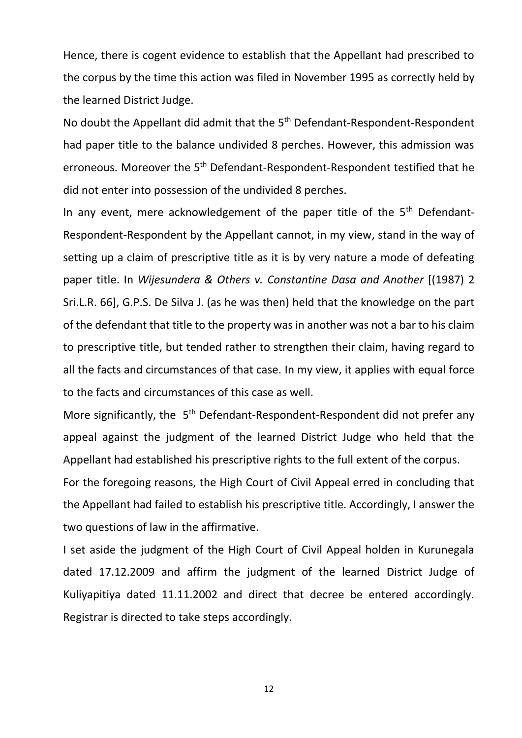Hence, there is cogent evidence to establish that the Appellant had prescribed to the corpus by the time this action was filed in November 1995 as correctly held by the learned District Judge.

No doubt the Appellant did admit that the 5<sup>th</sup> Defendant-Respondent-Respondent had paper title to the balance undivided 8 perches. However, this admission was erroneous. Moreover the 5<sup>th</sup> Defendant-Respondent-Respondent testified that he did not enter into possession of the undivided 8 perches.

In any event, mere acknowledgement of the paper title of the  $5<sup>th</sup>$  Defendant-Respondent-Respondent by the Appellant cannot, in my view, stand in the way of setting up a claim of prescriptive title as it is by very nature a mode of defeating paper title. In *Wijesundera & Others v. Constantine Dasa and Another* [(1987) 2 Sri.L.R. 66], G.P.S. De Silva J. (as he was then) held that the knowledge on the part of the defendant that title to the property was in another was not a bar to his claim to prescriptive title, but tended rather to strengthen their claim, having regard to all the facts and circumstances of that case. In my view, it applies with equal force to the facts and circumstances of this case as well.

More significantly, the 5<sup>th</sup> Defendant-Respondent-Respondent did not prefer any appeal against the judgment of the learned District Judge who held that the Appellant had established his prescriptive rights to the full extent of the corpus.

For the foregoing reasons, the High Court of Civil Appeal erred in concluding that the Appellant had failed to establish his prescriptive title. Accordingly, I answer the two questions of law in the affirmative.

I set aside the judgment of the High Court of Civil Appeal holden in Kurunegala dated 17.12.2009 and affirm the judgment of the learned District Judge of Kuliyapitiya dated 11.11.2002 and direct that decree be entered accordingly. Registrar is directed to take steps accordingly.